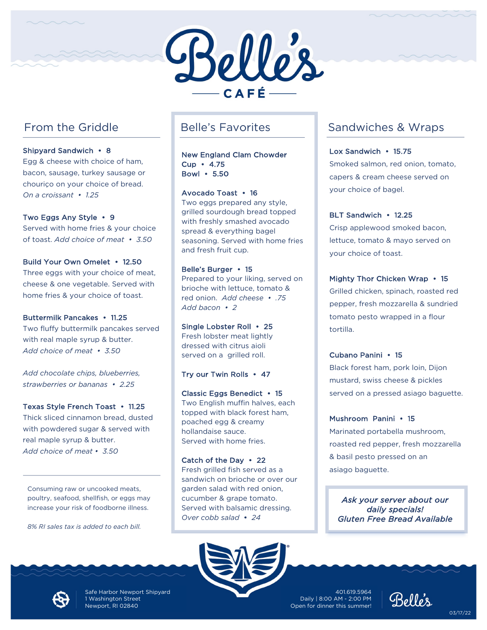

# From the Griddle

Shipyard Sandwich • 8

Egg & cheese with choice of ham, bacon, sausage, turkey sausage or chouriço on your choice of bread. *On a croissant • 1.25*

### Two Eggs Any Style • 9

Served with home fries & your choice of toast. *Add choice of meat • 3.50*

### Build Your Own Omelet • 12.50

Three eggs with your choice of meat, cheese & one vegetable. Served with home fries & your choice of toast.

### Buttermilk Pancakes • 11.25

Two fluffy buttermilk pancakes served with real maple syrup & butter. *Add choice of meat • 3.50*

*Add chocolate chips, blueberries, strawberries or bananas • 2.25*

### Texas Style French Toast • 11.25

Thick sliced cinnamon bread, dusted with powdered sugar & served with real maple syrup & butter. *Add choice of meat • 3.50*

Consuming raw or uncooked meats, poultry, seafood, shellfish, or eggs may increase your risk of foodborne illness.

*8% RI sales tax is added to each bill.*

# Belle's Favorites

New England Clam Chowder Cup • 4.75 Bowl • 5.50

Avocado Toast • 16 Two eggs prepared any style, grilled sourdough bread topped with freshly smashed avocado spread & everything bagel seasoning. Served with home fries and fresh fruit cup.

Belle's Burger • 15 Prepared to your liking, served on brioche with lettuce, tomato & red onion. *Add cheese • .75 Add bacon • 2*

Single Lobster Roll • 25 Fresh lobster meat lightly dressed with citrus aioli served on a grilled roll.

### Try our Twin Rolls • 47

Classic Eggs Benedict • 15 Two English muffin halves, each topped with black forest ham, poached egg & creamy hollandaise sauce. Served with home fries.

Catch of the Day • 22 Fresh grilled fish served as a sandwich on brioche or over our garden salad with red onion, cucumber & grape tomato. Served with balsamic dressing. *Over cobb salad* • *24*



# Sandwiches & Wraps

Lox Sandwich • 15.75 Smoked salmon, red onion, tomato,

capers & cream cheese served on your choice of bagel.

## BLT Sandwich • 12.25

Crisp applewood smoked bacon, lettuce, tomato & mayo served on your choice of toast.

Mighty Thor Chicken Wrap • 15

Grilled chicken, spinach, roasted red pepper, fresh mozzarella & sundried tomato pesto wrapped in a flour tortilla.

Cubano Panini • 15

Black forest ham, pork loin, Dijon mustard, swiss cheese & pickles served on a pressed asiago baguette.

### Mushroom Panini • 15

Marinated portabella mushroom, roasted red pepper, fresh mozzarella & basil pesto pressed on an asiago baguette.

*Ask your server about our daily specials! Gluten Free Bread Available*



Safe Harbor Newport Shipyard 1 Washington Street Newport, RI 02840

9 Open for dinner this summer! 401.619.5964 Daily | 8:00 AM - 2:00 PM